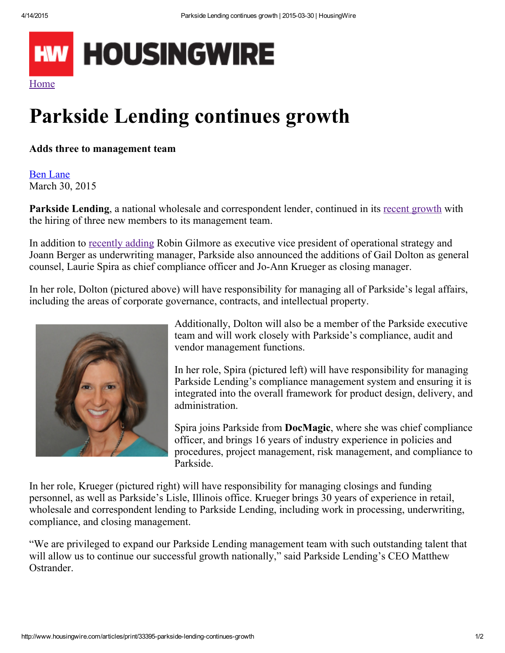

## Parkside Lending continues growth

Adds three to management team

Ben [Lane](http://www.housingwire.com/authors/198-ben-lane/articles) March 30, 2015

Parkside Lending, a national wholesale and correspondent lender, continued in its recent [growth](http://www.housingwire.com/articles/33320-parkside-lending-adds-robin-gilmore-as-evp-of-operational-strategy) with the hiring of three new members to its management team.

In addition to [recently](http://www.housingwire.com/articles/33320-parkside-lending-adds-robin-gilmore-as-evp-of-operational-strategy) adding Robin Gilmore as executive vice president of operational strategy and Joann Berger as underwriting manager, Parkside also announced the additions of Gail Dolton as general counsel, Laurie Spira as chief compliance officer and Jo-Ann Krueger as closing manager.

In her role, Dolton (pictured above) will have responsibility for managing all of Parkside's legal affairs, including the areas of corporate governance, contracts, and intellectual property.



Additionally, Dolton will also be a member of the Parkside executive team and will work closely with Parkside's compliance, audit and vendor management functions.

In her role, Spira (pictured left) will have responsibility for managing Parkside Lending's compliance management system and ensuring it is integrated into the overall framework for product design, delivery, and administration.

Spira joins Parkside from DocMagic, where she was chief compliance officer, and brings 16 years of industry experience in policies and procedures, project management, risk management, and compliance to Parkside.

In her role, Krueger (pictured right) will have responsibility for managing closings and funding personnel, as well as Parkside's Lisle, Illinois office. Krueger brings 30 years of experience in retail, wholesale and correspondent lending to Parkside Lending, including work in processing, underwriting, compliance, and closing management.

"We are privileged to expand our Parkside Lending management team with such outstanding talent that will allow us to continue our successful growth nationally," said Parkside Lending's CEO Matthew Ostrander.